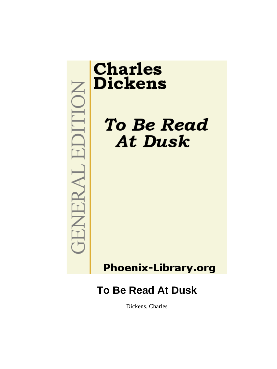# EDITION TENERAL.

# **Charles Dickens**

**To Be Read At Dusk** 

# **Phoenix-Library.org**

# **To Be Read At Dusk**

Dickens, Charles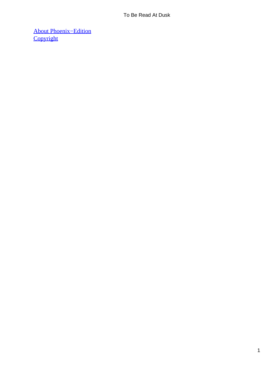[About Phoenix−Edition](#page-13-0) **[Copyright](#page-14-0)**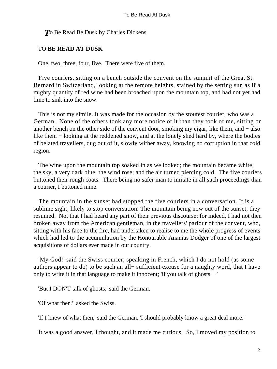### *T*o Be Read Be Dusk by Charles Dickens

### TO **BE READ AT DUSK**

One, two, three, four, five. There were five of them.

 Five couriers, sitting on a bench outside the convent on the summit of the Great St. Bernard in Switzerland, looking at the remote heights, stained by the setting sun as if a mighty quantity of red wine had been broached upon the mountain top, and had not yet had time to sink into the snow.

 This is not my simile. It was made for the occasion by the stoutest courier, who was a German. None of the others took any more notice of it than they took of me, sitting on another bench on the other side of the convent door, smoking my cigar, like them, and − also like them − looking at the reddened snow, and at the lonely shed hard by, where the bodies of belated travellers, dug out of it, slowly wither away, knowing no corruption in that cold region.

 The wine upon the mountain top soaked in as we looked; the mountain became white; the sky, a very dark blue; the wind rose; and the air turned piercing cold. The five couriers buttoned their rough coats. There being no safer man to imitate in all such proceedings than a courier, I buttoned mine.

 The mountain in the sunset had stopped the five couriers in a conversation. It is a sublime sight, likely to stop conversation. The mountain being now out of the sunset, they resumed. Not that I had heard any part of their previous discourse; for indeed, I had not then broken away from the American gentleman, in the travellers' parlour of the convent, who, sitting with his face to the fire, had undertaken to realise to me the whole progress of events which had led to the accumulation by the Honourable Ananias Dodger of one of the largest acquisitions of dollars ever made in our country.

 'My God!' said the Swiss courier, speaking in French, which I do not hold (as some authors appear to do) to be such an all− sufficient excuse for a naughty word, that I have only to write it in that language to make it innocent; 'if you talk of ghosts − '

'But I DON'T talk of ghosts,' said the German.

'Of what then?' asked the Swiss.

'If I knew of what then,' said the German, 'I should probably know a great deal more.'

It was a good answer, I thought, and it made me curious. So, I moved my position to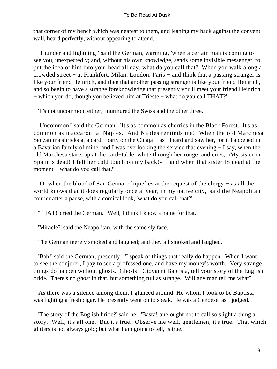that corner of my bench which was nearest to them, and leaning my back against the convent wall, heard perfectly, without appearing to attend.

 'Thunder and lightning!' said the German, warming, 'when a certain man is coming to see you, unexpectedly; and, without his own knowledge, sends some invisible messenger, to put the idea of him into your head all day, what do you call that? When you walk along a crowded street − at Frankfort, Milan, London, Paris − and think that a passing stranger is like your friend Heinrich, and then that another passing stranger is like your friend Heinrich, and so begin to have a strange foreknowledge that presently you'll meet your friend Heinrich − which you do, though you believed him at Trieste − what do you call THAT?'

'It's not uncommon, either,' murmured the Swiss and the other three.

 'Uncommon!' said the German. 'It's as common as cherries in the Black Forest. It's as common as maccaroni at Naples. And Naples reminds me! When the old Marchesa Senzanima shrieks at a card− party on the Chiaja − as I heard and saw her, for it happened in a Bavarian family of mine, and I was overlooking the service that evening − I say, when the old Marchesa starts up at the card−table, white through her rouge, and cries, «My sister in Spain is dead! I felt her cold touch on my back!» − and when that sister IS dead at the moment − what do you call that?'

 'Or when the blood of San Gennaro liquefies at the request of the clergy − as all the world knows that it does regularly once a−year, in my native city,' said the Neapolitan courier after a pause, with a comical look, 'what do you call that?'

'THAT!' cried the German. 'Well, I think I know a name for that.'

'Miracle?' said the Neapolitan, with the same sly face.

The German merely smoked and laughed; and they all smoked and laughed.

 'Bah!' said the German, presently. 'I speak of things that really do happen. When I want to see the conjurer, I pay to see a professed one, and have my money's worth. Very strange things do happen without ghosts. Ghosts! Giovanni Baptista, tell your story of the English bride. There's no ghost in that, but something full as strange. Will any man tell me what?'

 As there was a silence among them, I glanced around. He whom I took to be Baptista was lighting a fresh cigar. He presently went on to speak. He was a Genoese, as I judged.

 'The story of the English bride?' said he. 'Basta! one ought not to call so slight a thing a story. Well, it's all one. But it's true. Observe me well, gentlemen, it's true. That which glitters is not always gold; but what I am going to tell, is true.'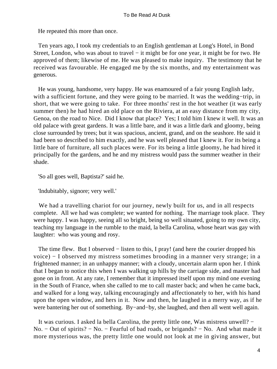He repeated this more than once.

 Ten years ago, I took my credentials to an English gentleman at Long's Hotel, in Bond Street, London, who was about to travel − it might be for one year, it might be for two. He approved of them; likewise of me. He was pleased to make inquiry. The testimony that he received was favourable. He engaged me by the six months, and my entertainment was generous.

 He was young, handsome, very happy. He was enamoured of a fair young English lady, with a sufficient fortune, and they were going to be married. It was the wedding−trip, in short, that we were going to take. For three months' rest in the hot weather (it was early summer then) he had hired an old place on the Riviera, at an easy distance from my city, Genoa, on the road to Nice. Did I know that place? Yes; I told him I knew it well. It was an old palace with great gardens. It was a little bare, and it was a little dark and gloomy, being close surrounded by trees; but it was spacious, ancient, grand, and on the seashore. He said it had been so described to him exactly, and he was well pleased that I knew it. For its being a little bare of furniture, all such places were. For its being a little gloomy, he had hired it principally for the gardens, and he and my mistress would pass the summer weather in their shade.

'So all goes well, Baptista?' said he.

'Indubitably, signore; very well.'

 We had a travelling chariot for our journey, newly built for us, and in all respects complete. All we had was complete; we wanted for nothing. The marriage took place. They were happy. I was happy, seeing all so bright, being so well situated, going to my own city, teaching my language in the rumble to the maid, la bella Carolina, whose heart was gay with laughter: who was young and rosy.

The time flew. But I observed – listen to this, I pray! (and here the courier dropped his voice) − I observed my mistress sometimes brooding in a manner very strange; in a frightened manner; in an unhappy manner; with a cloudy, uncertain alarm upon her. I think that I began to notice this when I was walking up hills by the carriage side, and master had gone on in front. At any rate, I remember that it impressed itself upon my mind one evening in the South of France, when she called to me to call master back; and when he came back, and walked for a long way, talking encouragingly and affectionately to her, with his hand upon the open window, and hers in it. Now and then, he laughed in a merry way, as if he were bantering her out of something. By−and−by, she laughed, and then all went well again.

 It was curious. I asked la bella Carolina, the pretty little one, Was mistress unwell? − No. − Out of spirits? − No. − Fearful of bad roads, or brigands? − No. And what made it more mysterious was, the pretty little one would not look at me in giving answer, but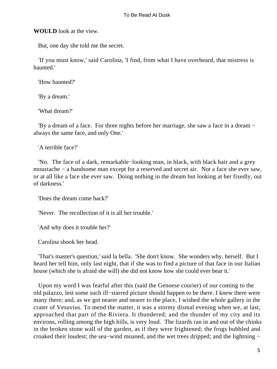**WOULD** look at the view.

But, one day she told me the secret.

 'If you must know,' said Carolina, 'I find, from what I have overheard, that mistress is haunted.'

'How haunted?'

'By a dream.'

'What dream?'

 'By a dream of a face. For three nights before her marriage, she saw a face in a dream − always the same face, and only One.'

'A terrible face?'

 'No. The face of a dark, remarkable−looking man, in black, with black hair and a grey moustache − a handsome man except for a reserved and secret air. Not a face she ever saw, or at all like a face she ever saw. Doing nothing in the dream but looking at her fixedly, out of darkness.'

'Does the dream come back?'

'Never. The recollection of it is all her trouble.'

'And why does it trouble her?'

Carolina shook her head.

 'That's master's question,' said la bella. 'She don't know. She wonders why, herself. But I heard her tell him, only last night, that if she was to find a picture of that face in our Italian house (which she is afraid she will) she did not know how she could ever bear it.'

 Upon my word I was fearful after this (said the Genoese courier) of our coming to the old palazzo, lest some such ill−starred picture should happen to be there. I knew there were many there; and, as we got nearer and nearer to the place, I wished the whole gallery in the crater of Vesuvius. To mend the matter, it was a stormy dismal evening when we, at last, approached that part of the Riviera. It thundered; and the thunder of my city and its environs, rolling among the high hills, is very loud. The lizards ran in and out of the chinks in the broken stone wall of the garden, as if they were frightened; the frogs bubbled and croaked their loudest; the sea−wind moaned, and the wet trees dripped; and the lightning −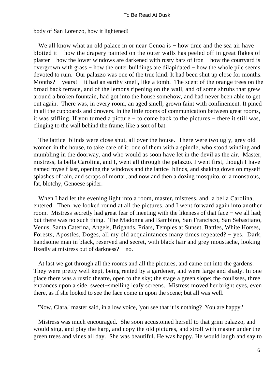body of San Lorenzo, how it lightened!

We all know what an old palace in or near Genoa is – how time and the sea air have blotted it − how the drapery painted on the outer walls has peeled off in great flakes of plaster − how the lower windows are darkened with rusty bars of iron − how the courtyard is overgrown with grass − how the outer buildings are dilapidated − how the whole pile seems devoted to ruin. Our palazzo was one of the true kind. It had been shut up close for months. Months? – years! – it had an earthy smell, like a tomb. The scent of the orange trees on the broad back terrace, and of the lemons ripening on the wall, and of some shrubs that grew around a broken fountain, had got into the house somehow, and had never been able to get out again. There was, in every room, an aged smell, grown faint with confinement. It pined in all the cupboards and drawers. In the little rooms of communication between great rooms, it was stifling. If you turned a picture − to come back to the pictures − there it still was, clinging to the wall behind the frame, like a sort of bat.

 The lattice−blinds were close shut, all over the house. There were two ugly, grey old women in the house, to take care of it; one of them with a spindle, who stood winding and mumbling in the doorway, and who would as soon have let in the devil as the air. Master, mistress, la bella Carolina, and I, went all through the palazzo. I went first, though I have named myself last, opening the windows and the lattice−blinds, and shaking down on myself splashes of rain, and scraps of mortar, and now and then a dozing mosquito, or a monstrous, fat, blotchy, Genoese spider.

 When I had let the evening light into a room, master, mistress, and la bella Carolina, entered. Then, we looked round at all the pictures, and I went forward again into another room. Mistress secretly had great fear of meeting with the likeness of that face − we all had; but there was no such thing. The Madonna and Bambino, San Francisco, San Sebastiano, Venus, Santa Caterina, Angels, Brigands, Friars, Temples at Sunset, Battles, White Horses, Forests, Apostles, Doges, all my old acquaintances many times repeated? − yes. Dark, handsome man in black, reserved and secret, with black hair and grey moustache, looking fixedly at mistress out of darkness? − no.

 At last we got through all the rooms and all the pictures, and came out into the gardens. They were pretty well kept, being rented by a gardener, and were large and shady. In one place there was a rustic theatre, open to the sky; the stage a green slope; the coulisses, three entrances upon a side, sweet−smelling leafy screens. Mistress moved her bright eyes, even there, as if she looked to see the face come in upon the scene; but all was well.

'Now, Clara,' master said, in a low voice, 'you see that it is nothing? You are happy.'

 Mistress was much encouraged. She soon accustomed herself to that grim palazzo, and would sing, and play the harp, and copy the old pictures, and stroll with master under the green trees and vines all day. She was beautiful. He was happy. He would laugh and say to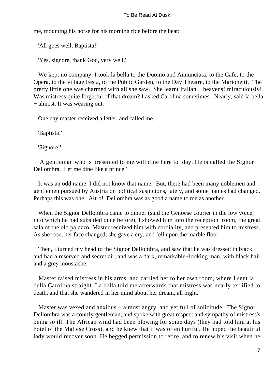me, mounting his horse for his morning ride before the heat:

'All goes well, Baptista!'

'Yes, signore, thank God, very well.'

 We kept no company. I took la bella to the Duomo and Annunciata, to the Cafe, to the Opera, to the village Festa, to the Public Garden, to the Day Theatre, to the Marionetti. The pretty little one was charmed with all she saw. She learnt Italian − heavens! miraculously! Was mistress quite forgetful of that dream? I asked Carolina sometimes. Nearly, said la bella − almost. It was wearing out.

One day master received a letter, and called me.

'Baptista!'

'Signore!'

 'A gentleman who is presented to me will dine here to−day. He is called the Signor Dellombra. Let me dine like a prince.'

 It was an odd name. I did not know that name. But, there had been many noblemen and gentlemen pursued by Austria on political suspicions, lately, and some names had changed. Perhaps this was one. Altro! Dellombra was as good a name to me as another.

 When the Signor Dellombra came to dinner (said the Genoese courier in the low voice, into which he had subsided once before), I showed him into the reception−room, the great sala of the old palazzo. Master received him with cordiality, and presented him to mistress. As she rose, her face changed, she gave a cry, and fell upon the marble floor.

 Then, I turned my head to the Signor Dellombra, and saw that he was dressed in black, and had a reserved and secret air, and was a dark, remarkable−looking man, with black hair and a grey moustache.

 Master raised mistress in his arms, and carried her to her own room, where I sent la bella Carolina straight. La bella told me afterwards that mistress was nearly terrified to death, and that she wandered in her mind about her dream, all night.

Master was vexed and anxious – almost angry, and yet full of solicitude. The Signor Dellombra was a courtly gentleman, and spoke with great respect and sympathy of mistress's being so ill. The African wind had been blowing for some days (they had told him at his hotel of the Maltese Cross), and he knew that it was often hurtful. He hoped the beautiful lady would recover soon. He begged permission to retire, and to renew his visit when he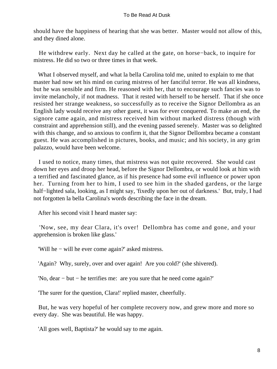should have the happiness of hearing that she was better. Master would not allow of this, and they dined alone.

 He withdrew early. Next day he called at the gate, on horse−back, to inquire for mistress. He did so two or three times in that week.

 What I observed myself, and what la bella Carolina told me, united to explain to me that master had now set his mind on curing mistress of her fanciful terror. He was all kindness, but he was sensible and firm. He reasoned with her, that to encourage such fancies was to invite melancholy, if not madness. That it rested with herself to be herself. That if she once resisted her strange weakness, so successfully as to receive the Signor Dellombra as an English lady would receive any other guest, it was for ever conquered. To make an end, the signore came again, and mistress received him without marked distress (though with constraint and apprehension still), and the evening passed serenely. Master was so delighted with this change, and so anxious to confirm it, that the Signor Dellombra became a constant guest. He was accomplished in pictures, books, and music; and his society, in any grim palazzo, would have been welcome.

 I used to notice, many times, that mistress was not quite recovered. She would cast down her eyes and droop her head, before the Signor Dellombra, or would look at him with a terrified and fascinated glance, as if his presence had some evil influence or power upon her. Turning from her to him, I used to see him in the shaded gardens, or the large half−lighted sala, looking, as I might say, 'fixedly upon her out of darkness.' But, truly, I had not forgotten la bella Carolina's words describing the face in the dream.

After his second visit I heard master say:

 'Now, see, my dear Clara, it's over! Dellombra has come and gone, and your apprehension is broken like glass.'

'Will he − will he ever come again?' asked mistress.

'Again? Why, surely, over and over again! Are you cold?' (she shivered).

'No, dear − but − he terrifies me: are you sure that he need come again?'

'The surer for the question, Clara!' replied master, cheerfully.

 But, he was very hopeful of her complete recovery now, and grew more and more so every day. She was beautiful. He was happy.

'All goes well, Baptista?' he would say to me again.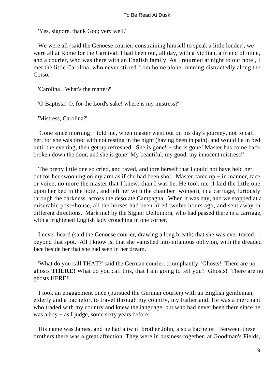'Yes, signore, thank God; very well.'

 We were all (said the Genoese courier, constraining himself to speak a little louder), we were all at Rome for the Carnival. I had been out, all day, with a Sicilian, a friend of mine, and a courier, who was there with an English family. As I returned at night to our hotel, I met the little Carolina, who never stirred from home alone, running distractedly along the Corso.

'Carolina! What's the matter?'

'O Baptista! O, for the Lord's sake! where is my mistress?'

'Mistress, Carolina?'

 'Gone since morning − told me, when master went out on his day's journey, not to call her, for she was tired with not resting in the night (having been in pain), and would lie in bed until the evening; then get up refreshed. She is gone!  $-$  she is gone! Master has come back, broken down the door, and she is gone! My beautiful, my good, my innocent mistress!'

 The pretty little one so cried, and raved, and tore herself that I could not have held her, but for her swooning on my arm as if she had been shot. Master came up − in manner, face, or voice, no more the master that I knew, than I was he. He took me (I laid the little one upon her bed in the hotel, and left her with the chamber−women), in a carriage, furiously through the darkness, across the desolate Campagna. When it was day, and we stopped at a miserable post−house, all the horses had been hired twelve hours ago, and sent away in different directions. Mark me! by the Signor Dellombra, who had passed there in a carriage, with a frightened English lady crouching in one corner.

 I never heard (said the Genoese courier, drawing a long breath) that she was ever traced beyond that spot. All I know is, that she vanished into infamous oblivion, with the dreaded face beside her that she had seen in her dream.

 'What do you call THAT?' said the German courier, triumphantly. 'Ghosts! There are no ghosts **THERE!** What do you call this, that I am going to tell you? Ghosts! There are no ghosts HERE!'

 I took an engagement once (pursued the German courier) with an English gentleman, elderly and a bachelor, to travel through my country, my Fatherland. He was a merchant who traded with my country and knew the language, but who had never been there since he was a boy − as I judge, some sixty years before.

 His name was James, and he had a twin−brother John, also a bachelor. Between these brothers there was a great affection. They were in business together, at Goodman's Fields,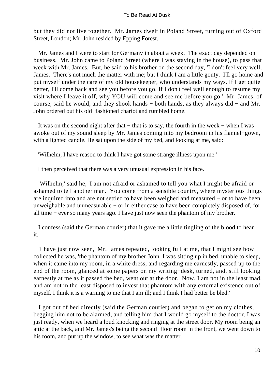but they did not live together. Mr. James dwelt in Poland Street, turning out of Oxford Street, London; Mr. John resided by Epping Forest.

 Mr. James and I were to start for Germany in about a week. The exact day depended on business. Mr. John came to Poland Street (where I was staying in the house), to pass that week with Mr. James. But, he said to his brother on the second day, 'I don't feel very well, James. There's not much the matter with me; but I think I am a little gouty. I'll go home and put myself under the care of my old housekeeper, who understands my ways. If I get quite better, I'll come back and see you before you go. If I don't feel well enough to resume my visit where I leave it off, why YOU will come and see me before you go.' Mr. James, of course, said he would, and they shook hands − both hands, as they always did − and Mr. John ordered out his old−fashioned chariot and rumbled home.

 It was on the second night after that − that is to say, the fourth in the week − when I was awoke out of my sound sleep by Mr. James coming into my bedroom in his flannel−gown, with a lighted candle. He sat upon the side of my bed, and looking at me, said:

'Wilhelm, I have reason to think I have got some strange illness upon me.'

I then perceived that there was a very unusual expression in his face.

 'Wilhelm,' said he, 'I am not afraid or ashamed to tell you what I might be afraid or ashamed to tell another man. You come from a sensible country, where mysterious things are inquired into and are not settled to have been weighed and measured − or to have been unweighable and unmeasurable − or in either case to have been completely disposed of, for all time − ever so many years ago. I have just now seen the phantom of my brother.'

 I confess (said the German courier) that it gave me a little tingling of the blood to hear it.

 'I have just now seen,' Mr. James repeated, looking full at me, that I might see how collected he was, 'the phantom of my brother John. I was sitting up in bed, unable to sleep, when it came into my room, in a white dress, and regarding me earnestly, passed up to the end of the room, glanced at some papers on my writing−desk, turned, and, still looking earnestly at me as it passed the bed, went out at the door. Now, I am not in the least mad, and am not in the least disposed to invest that phantom with any external existence out of myself. I think it is a warning to me that I am ill; and I think I had better be bled.'

 I got out of bed directly (said the German courier) and began to get on my clothes, begging him not to be alarmed, and telling him that I would go myself to the doctor. I was just ready, when we heard a loud knocking and ringing at the street door. My room being an attic at the back, and Mr. James's being the second−floor room in the front, we went down to his room, and put up the window, to see what was the matter.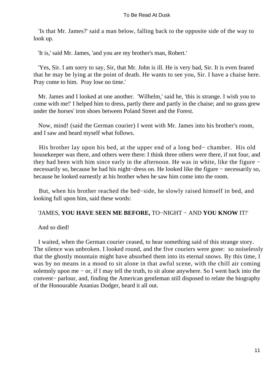'Is that Mr. James?' said a man below, falling back to the opposite side of the way to look up.

'It is,' said Mr. James, 'and you are my brother's man, Robert.'

 'Yes, Sir. I am sorry to say, Sir, that Mr. John is ill. He is very bad, Sir. It is even feared that he may be lying at the point of death. He wants to see you, Sir. I have a chaise here. Pray come to him. Pray lose no time.'

 Mr. James and I looked at one another. 'Wilhelm,' said he, 'this is strange. I wish you to come with me!' I helped him to dress, partly there and partly in the chaise; and no grass grew under the horses' iron shoes between Poland Street and the Forest.

 Now, mind! (said the German courier) I went with Mr. James into his brother's room, and I saw and heard myself what follows.

 His brother lay upon his bed, at the upper end of a long bed− chamber. His old housekeeper was there, and others were there: I think three others were there, if not four, and they had been with him since early in the afternoon. He was in white, like the figure − necessarily so, because he had his night−dress on. He looked like the figure − necessarily so, because he looked earnestly at his brother when he saw him come into the room.

 But, when his brother reached the bed−side, he slowly raised himself in bed, and looking full upon him, said these words:

### 'JAMES, **YOU HAVE SEEN ME BEFORE,** TO−NIGHT − AND **YOU KNOW** IT!'

And so died!

 I waited, when the German courier ceased, to hear something said of this strange story. The silence was unbroken. I looked round, and the five couriers were gone: so noiselessly that the ghostly mountain might have absorbed them into its eternal snows. By this time, I was by no means in a mood to sit alone in that awful scene, with the chill air coming solemnly upon me – or, if I may tell the truth, to sit alone anywhere. So I went back into the convent− parlour, and, finding the American gentleman still disposed to relate the biography of the Honourable Ananias Dodger, heard it all out.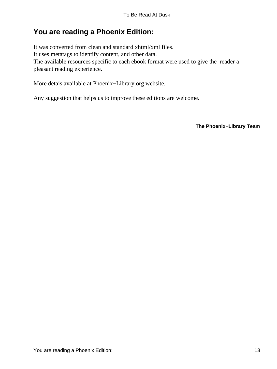# <span id="page-13-0"></span>**You are reading a Phoenix Edition:**

It was converted from clean and standard xhtml/xml files. It uses metatags to identify content, and other data. The available resources specific to each ebook format were used to give the reader a pleasant reading experience.

More detais available at Phoenix−Library.org website.

Any suggestion that helps us to improve these editions are welcome.

**The Phoenix−Library Team**